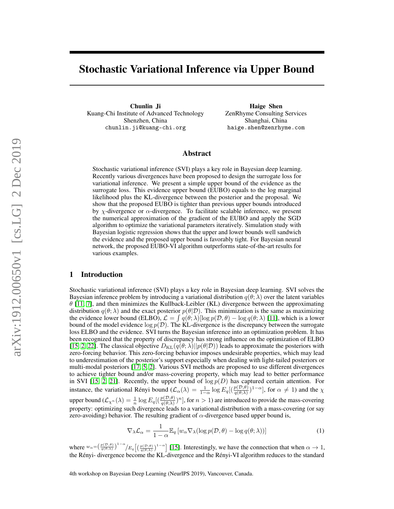# Stochastic Variational Inference via Upper Bound

Chunlin Ji Kuang-Chi Institute of Advanced Technology Shenzhen, China chunlin.ji@kuang-chi.org

Haige Shen ZenRhyme Consulting Services Shanghai, China haige.shen@zenrhyme.com

# Abstract

Stochastic variational inference (SVI) plays a key role in Bayesian deep learning. Recently various divergences have been proposed to design the surrogate loss for variational inference. We present a simple upper bound of the evidence as the surrogate loss. This evidence upper bound (EUBO) equals to the log marginal likelihood plus the KL-divergence between the posterior and the proposal. We show that the proposed EUBO is tighter than previous upper bounds introduced by  $\chi$ -divergence or  $\alpha$ -divergence. To facilitate scalable inference, we present the numerical approximation of the gradient of the EUBO and apply the SGD algorithm to optimize the variational parameters iteratively. Simulation study with Bayesian logistic regression shows that the upper and lower bounds well sandwich the evidence and the proposed upper bound is favorably tight. For Bayesian neural network, the proposed EUBO-VI algorithm outperforms state-of-the-art results for various examples.

## <span id="page-0-1"></span>1 Introduction

Stochastic variational inference (SVI) plays a key role in Bayesian deep learning. SVI solves the Bayesian inference problem by introducing a variational distribution  $q(\theta; \lambda)$  over the latent variables  $\theta$  [\[11,](#page-6-0) [7\]](#page-5-0), and then minimizes the Kullback-Leibler (KL) divergence between the approximating distribution  $q(\theta; \lambda)$  and the exact posterior  $p(\theta|\mathcal{D})$ . This minimization is the same as maximizing the evidence lower bound (ELBO),  $\mathcal{L} = \int q(\theta; \lambda) [\log p(\mathcal{D}, \theta) - \log q(\theta; \lambda)]$  [\[11\]](#page-6-0), which is a lower bound of the model evidence  $\log p(\mathcal{D})$ . The KL-divergence is the discrepancy between the surrogate loss ELBO and the evidence. SVI turns the Bayesian inference into an optimization problem. It has been recognized that the property of discrepancy has strong influence on the optimization of ELBO [\[15,](#page-6-1) [2,](#page-5-1) [22\]](#page-6-2). The classical objective  $D_{KL}(q(\theta; \lambda)||p(\theta|\mathcal{D}))$  leads to approximate the posteriors with zero-forcing behavior. This zero-forcing behavior imposes undesirable properties, which may lead to underestimation of the posterior's support especially when dealing with light-tailed posteriors or multi-modal posteriors [\[17,](#page-6-3) [5,](#page-5-2) [2\]](#page-5-1). Various SVI methods are proposed to use different divergences to achieve tighter bound and/or mass-covering property, which may lead to better performance in SVI [\[15,](#page-6-1) [2,](#page-5-1) [21\]](#page-6-4). Recently, the upper bound of  $\log p(D)$  has captured certain attention. For instance, the variational Rényi bound  $(\mathcal{L}_{\alpha}(\lambda)) = \frac{1}{1-\alpha} \log E_q[(\frac{p(\mathcal{D}, \theta)}{q(\theta; \lambda)})^{1-\alpha}]$ , for  $\alpha \neq 1$ ) and the  $\chi$ upper bound  $(L_{\chi^n}(\lambda) = \frac{1}{n} \log E_q[(\frac{p(\mathcal{D}, \theta)}{q(\theta; \lambda)})^n]$ , for  $n > 1$ ) are introduced to provide the mass-covering property: optimizing such divergence leads to a variational distribution with a mass-covering (or say zero-avoiding) behavior. The resulting gradient of  $\alpha$ -divergence based upper bound is,

<span id="page-0-0"></span>
$$
\nabla_{\lambda} \mathcal{L}_{\alpha} = \frac{1}{1 - \alpha} \mathbb{E}_{q} \left[ w_{\alpha} \nabla_{\lambda} (\log p(\mathcal{D}, \theta) - \log q(\theta; \lambda)) \right]
$$
(1)

where  $w_{\alpha} = \left(\frac{p(\mathcal{D}, \theta)}{q(\theta; \lambda)}\right)^{1-\alpha}/E_q \left[\left(\frac{p(\mathcal{D}, \theta)}{q(\theta; \lambda)}\right)^{1-\alpha}\right]$  [\[15\]](#page-6-1). Interestingly, we have the connection that when  $\alpha \to 1$ , the Rényi- divergence become the KL-divergence and the Rényi-VI algorithm reduces to the standard

4th workshop on Bayesian Deep Learning (NeurIPS 2019), Vancouver, Canada.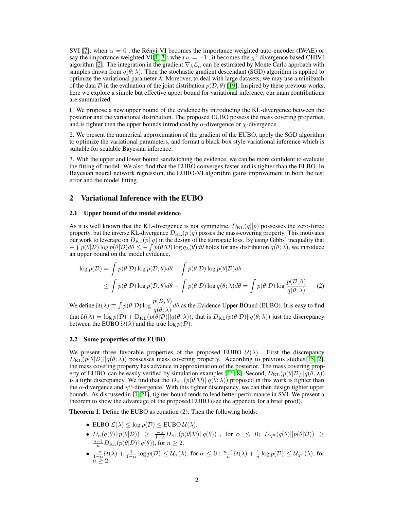SVI [\[7\]](#page-5-0); when  $\alpha = 0$ , the Rényi-VI becomes the importance weighted auto-encoder (IWAE) or say the importance weighted VI[\[1,](#page-5-3) [3\]](#page-5-4); when  $\alpha = -1$  , it becomes the  $\chi^2$  divergence based CHIVI algorithm [\[2\]](#page-5-1). The integration in the gradient  $\nabla_{\lambda} \mathcal{L}_{\alpha}$  can be estimated by Monte Carlo approach with samples drawn from  $q(\theta; \lambda)$ . Then the stochastic gradient descendant (SGD) algorithm is applied to optimize the variational parameter  $\lambda$ . Moreover, to deal with large datasets, we may use a minibatch of the data D in the evaluation of the joint distribution  $p(D, \theta)$  [\[19\]](#page-6-5). Inspired by these previous works, here we explore a simple but effective upper bound for variational inference, our main contributions are summarized:

1. We propose a new upper bound of the evidence by introducing the KL-divergence between the posterior and the variational distribution. The proposed EUBO possess the mass covering properties, and is tighter then the upper bounds introduced by  $\alpha$ -divergence or  $\chi$ -divergence.

2. We present the numerical approximation of the gradient of the EUBO, apply the SGD algorithm to optimize the variational parameters, and format a black-box style variational inference which is suitable for scalable Bayesian inference.

3. With the upper and lower bound sandwiching the evidence, we can be more confident to evaluate the fitting of model. We also find that the EUBO converges faster and is tighter than the ELBO. In Bayesian neural network regression, the EUBO-VI algorithm gains improvement in both the test error and the model fitting.

# 2 Variational Inference with the EUBO

#### 2.1 Upper bound of the model evidence

As it is well known that the KL-divergence is not symmetric,  $D_{KL}(q||p)$  possesses the zero-force property, but the inverse KL-divergence  $D_{KL}(p||q)$  posses the mass-covering property. This motivates our work to leverage on  $D_{KL}(p||q)$  in the design of the surrogate loss. By using Gibbs' inequality that  $-\int p(\theta|\mathcal{D}) \log p(\bar{\theta}|\mathcal{D}) d\theta \leq -\int p(\theta|\mathcal{D}) \log q_{\lambda}(\theta) d\theta$  holds for any distribution  $q(\theta;\lambda)$ , we introduce an upper bound on the model evidence,

$$
\log p(\mathcal{D}) = \int p(\theta|\mathcal{D}) \log p(\mathcal{D}, \theta) d\theta - \int p(\theta|\mathcal{D}) \log p(\theta|\mathcal{D}) d\theta
$$
  
\$\leq \int p(\theta|\mathcal{D}) \log p(\mathcal{D}, \theta) d\theta - \int p(\theta|\mathcal{D}) \log q(\theta; \lambda) d\theta = \int p(\theta|\mathcal{D}) \log \frac{p(\mathcal{D}, \theta)}{q(\theta; \lambda)} \qquad (2)\$

We define  $\mathcal{U}(\lambda) \equiv \int p(\theta|\mathcal{D}) \log \frac{p(\mathcal{D}, \theta)}{q(\theta; \lambda)} d\theta$  as the Evidence Upper BOund (EUBO). It is easy to find that  $U(\lambda) = \log p(\mathcal{D}) + D_{KL}(p(\theta|\mathcal{D})||q(\theta;\lambda))$ , that is  $D_{KL}(p(\theta|\mathcal{D})||q(\theta;\lambda))$  just the discrepancy between the EUBO  $\mathcal{U}(\lambda)$  and the true  $\log p(\mathcal{D})$ .

## <span id="page-1-0"></span>2.2 Some properties of the EUBO

We present three favorable properties of the proposed EUBO  $\mathcal{U}(\lambda)$ . First the discrepancy  $D_{\text{KL}}(p(\theta|\mathcal{D})||q(\theta; \lambda))$  possesses mass covering property. According to previous studies[\[15,](#page-6-1) [2\]](#page-5-1), the mass covering property has advance in approximation of the posterior. The mass covering prop-erty of EUBO, can be easily verified by simulation examples [\[16,](#page-6-6) [8\]](#page-5-5). Second,  $D_{KL}(p(\theta|\mathcal{D})||q(\theta; \lambda))$ is a tight discrepancy. We find that the  $D_{KL}(p(\theta|\mathcal{D})||q(\theta;\lambda))$  proposed in this work is tighter than the  $\alpha$ -divergence and  $\chi^n$ -divergence. With this tighter discrepancy, we can then design tighter upper bounds. As discussed in [\[1,](#page-5-3) [21\]](#page-6-4), tighter bound tends to lead better performance in SVI. We present a theorem to show the advantage of the proposed EUBO (see the appendix for a brief proof).

Theorem 1. Define the EUBO as equation (2). Then the following holds:

- ELBO  $\mathcal{L}(\lambda) \leq \log p(\mathcal{D}) \leq$  EUBO  $\mathcal{U}(\lambda)$ .
- $D_{\alpha}(q(\theta)||p(\theta|\mathcal{D})) \ge \frac{-\alpha}{1-\alpha}D_{\mathrm{KL}}(p(\theta|\mathcal{D})||q(\theta))$ , for  $\alpha \le 0$ ;  $D_{\chi^n}(q(\theta)||p(\theta|\mathcal{D})) \ge \frac{n-1}{n}D_{\mathrm{KL}}(p(\theta|\mathcal{D})||q(\theta))$ , for  $n \ge 2$ .
- $\bullet$   $\frac{-\alpha}{1-\alpha}$ U(λ) +  $\frac{1}{1-\alpha}\log p(\mathcal{D}) \leq U_{\alpha}(\lambda)$ , for  $\alpha \leq 0$ ;  $\frac{n-1}{n}$ U(λ) +  $\frac{1}{n}\log p(\mathcal{D}) \leq U_{\chi^n}(\lambda)$ , for  $\overline{n} \geq 2$ .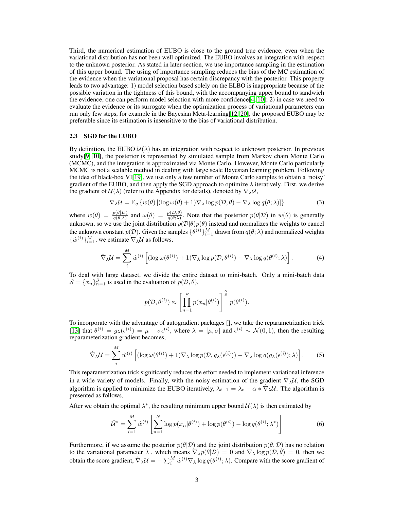Third, the numerical estimation of EUBO is close to the ground true evidence, even when the variational distribution has not been well optimized. The EUBO involves an integration with respect to the unknown posterior. As stated in later section, we use importance sampling in the estimation of this upper bound. The using of importance sampling reduces the bias of the MC estimation of the evidence when the variational proposal has certain discrepancy with the posterior. This property leads to two advantage: 1) model selection based solely on the ELBO is inappropriate because of the possible variation in the tightness of this bound, with the accompanying upper bound to sandwich the evidence, one can perform model selection with more confidence [\[4,](#page-5-6) [10\]](#page-5-7); 2) in case we need to evaluate the evidence or its surrogate when the optimization process of variational parameters can run only few steps, for example in the Bayesian Meta-learning[\[12,](#page-6-7) [20\]](#page-6-8), the proposed EUBO may be preferable since its estimation is insensitive to the bias of variational distribution.

#### <span id="page-2-1"></span>2.3 SGD for the EUBO

By definition, the EUBO  $U(\lambda)$  has an integration with respect to unknown posterior. In previous study[\[9,](#page-5-8) [10\]](#page-5-7), the posterior is represented by simulated sample from Markov chain Monte Carlo (MCMC), and the integration is approximated via Monte Carlo. However, Monte Carlo particularly MCMC is not a scalable method in dealing with large scale Bayesian learning problem. Following the idea of black-box VI[\[19\]](#page-6-5), we use only a few number of Monte Carlo samples to obtain a 'noisy' gradient of the EUBO, and then apply the SGD approach to optimize  $\lambda$  iteratively. First, we derive the gradient of  $U(\lambda)$  (refer to the Appendix for details), denoted by  $\nabla_{\lambda}U$ ,

$$
\nabla_{\lambda} \mathcal{U} = \mathbb{E}_{q} \left\{ w(\theta) \left[ (\log \omega(\theta) + 1) \nabla_{\lambda} \log p(\mathcal{D}, \theta) - \nabla_{\lambda} \log q(\theta; \lambda) \right] \right\}
$$
(3)

where  $w(\theta) = \frac{p(\theta|D)}{q(\theta;\lambda)}$  and  $\omega(\theta) = \frac{p(D,\theta)}{q(\theta;\lambda)}$ . Note that the posterior  $p(\theta|\mathcal{D})$  in  $w(\theta)$  is generally unknown, so we use the joint distribution  $p(\mathcal{D}|\theta)p(\theta)$  instead and normalizes the weights to cancel the unknown constant  $p(\mathcal{D})$ . Given the samples  $\{\theta^{(i)}\}_{i=1}^M$  drawn from  $q(\theta; \lambda)$  and normalized weights  $\{\hat{w}^{(i)}\}_{i=1}^M$ , we estimate  $\nabla_{\lambda} \mathcal{U}$  as follows,

<span id="page-2-2"></span>
$$
\hat{\nabla}_{\lambda} \mathcal{U} = \sum_{i}^{M} \hat{w}^{(i)} \left[ (\log \omega(\theta^{(i)}) + 1) \nabla_{\lambda} \log p(\mathcal{D}, \theta^{(i)}) - \nabla_{\lambda} \log q(\theta^{(i)}; \lambda) \right]. \tag{4}
$$

To deal with large dataset, we divide the entire dataset to mini-batch. Only a mini-batch data  $S = \{x_n\}_{n=1}^S$  is used in the evaluation of  $p(\mathcal{D}, \theta)$ ,

$$
p(\mathcal{D}, \theta^{(i)}) \approx \left[ \prod_{n=1}^{S} p(x_n | \theta^{(i)}) \right]^{\frac{N}{S}} p(\theta^{(i)}).
$$

To incorporate with the advantage of autogradient packages [], we take the reparametrization trick [\[13\]](#page-6-9) that  $\theta^{(i)} = g_{\lambda}(\epsilon^{(i)}) = \mu + \sigma \epsilon^{(i)}$ , where  $\lambda = [\mu, \sigma]$  and  $\epsilon^{(i)} \sim \mathcal{N}(0, 1)$ , then the resulting reparameterization gradient becomes,

$$
\hat{\nabla}_{\lambda} \mathcal{U} = \sum_{i}^{M} \hat{w}^{(i)} \left[ (\log \omega(\theta^{(i)}) + 1) \nabla_{\lambda} \log p(\mathcal{D}, g_{\lambda}(\epsilon^{(i)})) - \nabla_{\lambda} \log q(g_{\lambda}(\epsilon^{(i)}); \lambda) \right].
$$
 (5)

This reparametrization trick significantly reduces the effort needed to implement variational inference in a wide variety of models. Finally, with the noisy estimation of the gradient  $\hat{\nabla}_{\lambda} \mathcal{U}$ , the SGD algorithm is applied to minimize the EUBO iteratively,  $\lambda_{t+1} = \lambda_t - \alpha * \hat{\nabla}_\lambda \mathcal{U}$ . The algorithm is presented as follows,

After we obtain the optimal  $\lambda^*$ , the resulting minimum upper bound  $\mathcal{U}(\lambda)$  is then estimated by

<span id="page-2-0"></span>
$$
\hat{\mathcal{U}}^* = \sum_{i=1}^M \hat{w}^{(i)} \left[ \sum_{n=1}^N \log p(x_n | \theta^{(i)}) + \log p(\theta^{(i)}) - \log q(\theta^{(i)}; \lambda^*) \right]
$$
(6)

Furthermore, if we assume the posterior  $p(\theta|\mathcal{D})$  and the joint distribution  $p(\theta, \mathcal{D})$  has no relation to the variational parameter  $\lambda$ , which means  $\nabla_\lambda p(\theta|\mathcal{D}) = 0$  and  $\nabla_\lambda \log p(\mathcal{D}, \theta) = 0$ , then we obtain the score gradient,  $\hat{\nabla}_{\lambda} \mathcal{U} = -\sum_{i}^{M} \hat{w}^{(i)} \nabla_{\lambda} \log q(\theta^{(i)}; \lambda)$ . Compare with the score gradient of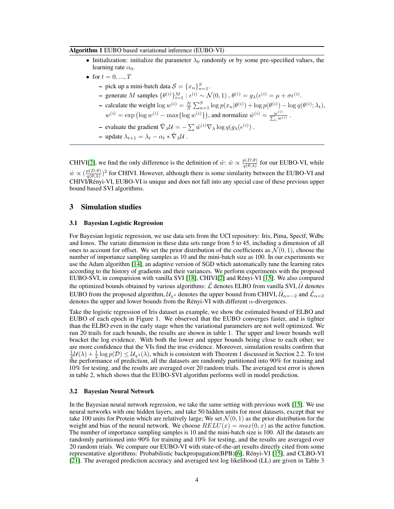#### Algorithm 1 EUBO based variational inference (EUBO-VI)

- Initialization: initialize the parameter  $\lambda_0$  randomly or by some pre-specified values, the learning rate  $\alpha_0$ .
- for  $t = 0, ..., T$ 
	- pick up a mini-batch data  $S = \{x_n\}_{n=1}^S$ .
	- $\rightarrow$  generate *M* samples { $\theta^{(i)}\}_{i=1}^M$  :  $\epsilon^{(i)} \sim \mathcal{N}(0,1)$ ,  $\theta^{(i)} = g_\lambda(\epsilon^{(i)} = \mu + \sigma \epsilon^{(i)}$ .
	- calculate the weight  $\log w^{(i)} = \frac{N}{S} \sum_{n=1}^{S} \log p(x_n | \theta^{(i)}) + \log p(\theta^{(i)}) \log q(\theta^{(i)}; \lambda_t),$  $w^{(i)} = \exp\left(\log w^{(i)} - \max\{\log w^{(i)}\}\right)$ , and normalize  $\hat{w}^{(i)} = \frac{w^{(i)}}{\sum_{n=1}^{\infty} w^{(i)}}$  $\frac{w^{(i)}}{\sum_i w^{(i)}}$  .
	- evaluate the gradient  $\hat{\nabla}_{\lambda} \mathcal{U} = -\sum \hat{w}^{(i)} \nabla_{\lambda} \log q(g_{\lambda}(\epsilon^{(i)})$ .
	- update  $\lambda_{t+1} = \lambda_t \alpha_t * \hat{\nabla}_\lambda \mathcal{U}$ .

CHIVI[\[2\]](#page-5-1), we find the only difference is the definition of  $\hat{w}$ :  $\hat{w} \propto \frac{p(D,\theta)}{q(\theta,\lambda)}$  $\frac{\rho(D,\theta)}{q(\theta,\lambda)}$  for our EUBO-VI, while  $\hat{w} \propto (\frac{p(D,\theta)}{q(\theta,\lambda)})$  $\frac{p(D,\theta)}{q(\theta,\lambda)}$ <sup>2</sup> for CHIVI. However, although there is some similarity between the EUBO-VI and CHIVI/Rényi-VI, EUBO-VI is unique and does not fall into any special case of these previous upper bound based SVI algorithms.

## 3 Simulation studies

### <span id="page-3-0"></span>3.1 Bayesian Logistic Regression

For Bayesian logistic regression, we use data sets from the UCI repository: Iris, Pima, Spectf, Wdbc and Ionos. The variate dimension in these data sets range from 5 to 45, including a dimension of all ones to account for offset. We set the prior distribution of the coefficients as  $\mathcal{N}(0, 1)$ , choose the number of importance sampling samples as 10 and the mini-batch size as 100. In our experiments we use the Adam algorithm [\[14\]](#page-6-10), an adaptive version of SGD which automatically tune the learning rates according to the history of gradients and their variances. We perform experiments with the proposed EUBO-SVI, in comparision with vanilla SVI [\[18\]](#page-6-11), CHIVI[\[2\]](#page-5-1) and Rényi-VI [\[15\]](#page-6-1). We also compared the optimized bounds obtained by various algorithms:  $\hat{\mathcal{L}}$  denotes ELBO from vanilla SVI,  $\hat{\mathcal{U}}$  denotes EUBO from the proposed algorithm,  $\mathcal{U}_{\chi^2}$  denotes the upper bound from CHIVI,  $\hat{\mathcal{U}}_{\alpha=-2}$  and  $\hat{\mathcal{L}}_{\alpha=2}$ denotes the upper and lower bounds from the Rényi-VI with different  $\alpha$ -divergences.

Take the logistic regression of Iris dataset as example, we show the estimated bound of ELBO and EUBO of each epoch in Figure 1. We observed that the EUBO converges faster, and is tighter than the ELBO even in the early stage when the variational parameters are not well optimized. We run 20 trails for each bounds, the results are shown in table 1. The upper and lower bounds well bracket the log evidence. With both the lower and upper bounds being close to each other, we are more confidence that the VIs find the true evidence. Moreover, simulation results confirm that  $\frac{1}{2}$ U( $\lambda$ ) +  $\frac{1}{2}$  log  $p(\mathcal{D}) \leq U_{\chi^2}(\lambda)$ , which is consistent with Theorem 1 discussed in Section 2.2. To test the performance of prediction, all the datasets are randomly partitioned into 90% for training and 10% for testing, and the results are averaged over 20 random trials. The averaged test error is shown in table 2, which shows that the EUBO-SVI algorithm performs well in model prediction.

### <span id="page-3-1"></span>3.2 Bayesian Neural Network

In the Bayesian neural network regression, we take the same setting with previous work [\[15\]](#page-6-1). We use neural networks with one hidden layers, and take 50 hidden units for most datasets, except that we take 100 units for Protein which are relatively large; We set  $\mathcal{N}(0, 1)$  as the prior distribution for the weight and bias of the neural network. We choose  $RELU(x) = max(0, x)$  as the active function. The number of importance sampling samples is 10 and the mini-batch size is 100. All the datasets are randomly partitioned into 90% for training and 10% for testing, and the results are averaged over 20 random trials. We compare our EUBO-VI with state-of-the-art results directly cited from some representative algorithms: Probabilistic backpropagation(BPB)[\[6\]](#page-5-9), Rényi-VI [\[15\]](#page-6-1), and CLBO-VI [\[21\]](#page-6-4). The averaged prediction accuracy and averaged test log likelihood (LL) are given in Table 3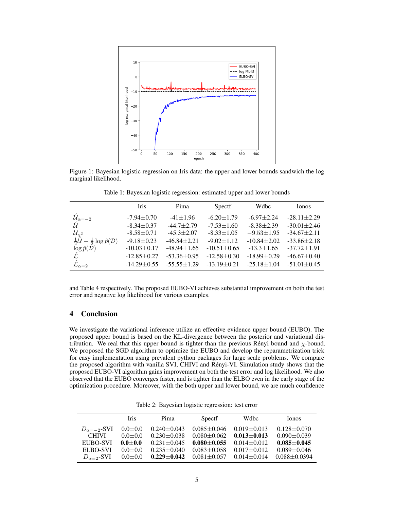

Figure 1: Bayesian logistic regression on Iris data: the upper and lower bounds sandwich the log marginal likelihood.

|                                                                                                                                                     | <b>Iris</b>       | Pima              | Spectf            | Wdbc              | Ionos             |
|-----------------------------------------------------------------------------------------------------------------------------------------------------|-------------------|-------------------|-------------------|-------------------|-------------------|
| $\hat{\mathcal{U}}_{\alpha=-2}$                                                                                                                     | $-7.94 \pm 0.70$  | $-41 \pm 1.96$    | $-6.20 \pm 1.79$  | $-6.97 \pm 2.24$  | $-28.11 \pm 2.29$ |
| $\hat{U}$                                                                                                                                           | $-8.34 + 0.37$    | $-44.7 + 2.79$    | $-7.53 \pm 1.60$  | $-8.38 + 2.39$    | $-30.01 + 2.46$   |
| $\begin{array}{l} \mathcal{U}_{\chi^2} \\ \frac{1}{2} \mathcal{U} + \frac{1}{2} \log \hat{p}(\mathcal{D}) \\ \log \hat{p}(\mathcal{D}) \end{array}$ | $-8.58 \pm 0.71$  | $-45.3 \pm 2.07$  | $-8.33 \pm 1.05$  | $-9.53 \pm 1.95$  | $-34.67 \pm 2.11$ |
|                                                                                                                                                     | $-9.18 + 0.23$    | $-46.84 + 2.21$   | $-9.02 \pm 1.12$  | $-10.84 + 2.02$   | $-33.86 \pm 2.18$ |
|                                                                                                                                                     | $-10.03 \pm 0.17$ | $-48.94 \pm 1.65$ | $-10.51 + 0.65$   | $-13.3 \pm 1.65$  | $-37.72 \pm 1.91$ |
|                                                                                                                                                     | $-12.85 + 0.27$   | $-53.36 + 0.95$   | $-12.58 + 0.30$   | $-18.99 + 0.29$   | $-46.67 + 0.40$   |
|                                                                                                                                                     | $-14.29 + 0.55$   | $-55.55 \pm 1.29$ | $-13.19 \pm 0.21$ | $-25.18 \pm 1.04$ | $-51.01 \pm 0.45$ |

Table 1: Bayesian logistic regression: estimated upper and lower bounds

and Table 4 respectively. The proposed EUBO-VI achieves substantial improvement on both the test error and negative log likelihood for various examples.

# 4 Conclusion

We investigate the variational inference utilize an effective evidence upper bound (EUBO). The proposed upper bound is based on the KL-divergence between the posterior and variational distribution. We real that this upper bound is tighter than the previous Rényi bound and  $\chi$ -bound. We proposed the SGD algorithm to optimize the EUBO and develop the reparametrization trick for easy implementation using prevalent python packages for large scale problems. We compare the proposed algorithm with vanilla SVI, CHIVI and Rényi-VI. Simulation study shows that the proposed EUBO-VI algorithm gains improvement on both the test error and log likelihood. We also observed that the EUBO converges faster, and is tighter than the ELBO even in the early stage of the optimization procedure. Moreover, with the both upper and lower bound, we are much confidence

Table 2: Bayesian logistic regression: test error

|                      | <b>Iris</b> | Pima              | Spectf            | Wdbc              | <b>I</b> onos     |
|----------------------|-------------|-------------------|-------------------|-------------------|-------------------|
| $D_{\alpha=-2}$ -SVI | $0.0 + 0.0$ | $0.240 \pm 0.043$ | $0.085 \pm 0.046$ | $0.019 + 0.013$   | $0.128 + 0.070$   |
| <b>CHIVI</b>         | $0.0 + 0.0$ | $0.230 + 0.038$   | $0.080 + 0.062$   | $0.013 + 0.013$   | $0.090 \pm 0.039$ |
| EUBO-SVI             | $0.0 + 0.0$ | $0.231 + 0.045$   | $0.080 + 0.055$   | $0.014 \pm 0.012$ | $0.085 + 0.045$   |
| ELBO-SVI             | $0.0 + 0.0$ | $0.235 \pm 0.040$ | $0.083 \pm 0.058$ | $0.017 + 0.012$   | $0.089 + 0.046$   |
| $D_{\alpha-2}$ -SVI  | $0.0 + 0.0$ | $0.229 + 0.042$   | $0.081 + 0.057$   | $0.014 + 0.014$   | $0.088 + 0.0394$  |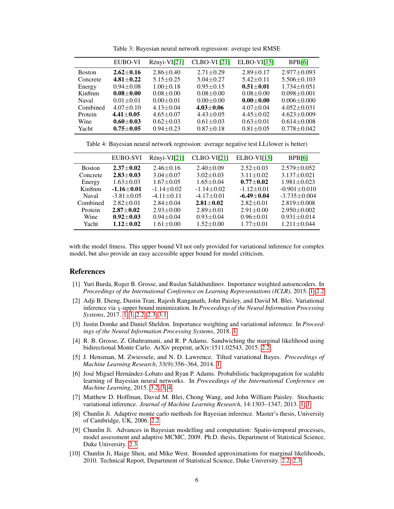|               | <b>EUBO-VI</b>  | Rényi-VI[21]    | <b>CLBO-VI</b> [21] | $ELBO-VI[15]$   | BPB[6]            |
|---------------|-----------------|-----------------|---------------------|-----------------|-------------------|
| <b>Boston</b> | $2.62 + 0.16$   | $2.86 \pm 0.40$ | $2.71 \pm 0.29$     | $2.89 + 0.17$   | $2.977 + 0.093$   |
| Concrete      | $4.81 + 0.22$   | $5.15 \pm 0.25$ | $5.04 + 0.27$       | $5.42 \pm 0.11$ | $5.506 \pm 0.103$ |
| Energy        | $0.94 + 0.08$   | $1.00 + 0.18$   | $0.95 \pm 0.15$     | $0.51 + 0.01$   | $1.734 \pm 0.051$ |
| Kin8nm        | $0.08 + 0.00$   | $0.08 + 0.00$   | $0.08 + 0.00$       | $0.08 + 0.00$   | $0.098 + 0.001$   |
| <b>Naval</b>  | $0.01 + 0.01$   | $0.00 + 0.01$   | $0.00 + 0.00$       | $0.00 + 0.00$   | $0.006 + 0.000$   |
| Combined      | $4.07 \pm 0.10$ | $4.13 \pm 0.04$ | $4.03 + 0.06$       | $4.07 \pm 0.04$ | $4.052 \pm 0.031$ |
| Protein       | $4.41 + 0.05$   | $4.65 \pm 0.07$ | $4.43 \pm 0.05$     | $4.45 \pm 0.02$ | $4.623 \pm 0.009$ |
| Wine          | $0.60 + 0.03$   | $0.62 + 0.03$   | $0.61 \pm 0.03$     | $0.63 \pm 0.01$ | $0.614 \pm 0.008$ |
| Yacht         | $0.75 + 0.05$   | $0.94 + 0.23$   | $0.87 + 0.18$       | $0.81 \pm 0.05$ | $0.778 + 0.042$   |
|               |                 |                 |                     |                 |                   |

<span id="page-5-10"></span>Table 3: Bayesian neural network regression: average test RMSE

<span id="page-5-11"></span>Table 4: Bayesian neural network regression: average negative test LL(lower is better)

|               | EUBO-SVI         | $Rényi-VI[21]$   | $CLBO-VI[21]$    | $ELBO-VI[15]$    | BPB[6]            |
|---------------|------------------|------------------|------------------|------------------|-------------------|
| <b>Boston</b> | $2.37 + 0.02$    | $2.46 \pm 0.16$  | $2.40 \pm 0.09$  | $2.52 \pm 0.03$  | $2.579 + 0.052$   |
| Concrete      | $2.83 + 0.03$    | $3.04 + 0.07$    | $3.02 \pm 0.03$  | $3.11 \pm 0.02$  | $3.137 + 0.021$   |
| Energy        | $1.63 + 0.03$    | $1.67 + 0.05$    | $1.65 \pm 0.04$  | $0.77 + 0.02$    | $1.981 + 0.023$   |
| Kin8nm        | $-1.16 \pm 0.01$ | $-1.14 \pm 0.02$ | $-1.14 + 0.02$   | $-1.12 \pm 0.01$ | $-0.901 + 0.010$  |
| Naval         | $-3.81 \pm 0.05$ | $-4.11 + 0.11$   | $-4.17 \pm 0.01$ | $-6.49 + 0.04$   | $-3.735 + 0.004$  |
| Combined      | $2.82 \pm 0.01$  | $2.84 \pm 0.04$  | $2.81 + 0.02$    | $2.82 + 0.01$    | $2.819 + 0.008$   |
| Protein       | $2.87 + 0.02$    | $2.93 \pm 0.00$  | $2.89 + 0.01$    | $2.91 \pm 0.00$  | $2.950 + 0.002$   |
| Wine          | $0.92 + 0.03$    | $0.94 + 0.04$    | $0.93 \pm 0.04$  | $0.96 \pm 0.01$  | $0.931 \pm 0.014$ |
| Yacht         | $1.12 + 0.02$    | $1.61 \pm 0.00$  | $1.52 + 0.00$    | $1.77 + 0.01$    | $1.211 + 0.044$   |

with the model fitness. This upper bound VI not only provided for variational inference for complex model, but also provide an easy accessible upper bound for model criticism.

## References

- <span id="page-5-3"></span>[1] Yuri Burda, Roger B. Grosse, and Ruslan Salakhutdinov. Importance weighted autoencoders. In *Proceedings of the International Conference on Learning Representations (ICLR)*, 2015. [1,](#page-0-0) [2.2](#page-1-0)
- <span id="page-5-1"></span>[2] Adji B. Dieng, Dustin Tran, Rajesh Ranganath, John Paisley, and David M. Blei. Variational inference via χ-upper bound minimization. In *Proceedings of the Neural Information Processing Systems*, 2017. [1,](#page-0-1) [1,](#page-0-0) [2.2,](#page-1-0) [2.3,](#page-2-0) [3.1](#page-3-0)
- <span id="page-5-4"></span>[3] Justin Domke and Daniel Sheldon. Importance weighting and variational inference. In *Proceedings of the Neural Information Processing Systems*, 2018. [1](#page-0-0)
- <span id="page-5-6"></span>[4] R. B. Grosse, Z. Ghahramani, and R. P Adams. Sandwiching the marginal likelihood using bidirectional Monte Carlo. ArXiv preprint, arXiv:1511.02543, 2015. [2.2](#page-1-0)
- <span id="page-5-2"></span>[5] J. Hensman, M. Zwiessele, and N. D. Lawrence. Tilted variational Bayes. *Proceedings of Machine Learning Research*, 33(9):356–364, 2014. [1](#page-0-1)
- <span id="page-5-9"></span>[6] José Miguel Hernández-Lobato and Ryan P. Adams. Probabilistic backpropagation for scalable learning of Bayesian neural networks. In *Proceedings of the International Conference on Machine Learning*, 2015. [3.2,](#page-3-1) [3,](#page-5-10) [4](#page-5-11)
- <span id="page-5-0"></span>[7] Matthew D. Hoffman, David M. Blei, Chong Wang, and John William Paisley. Stochastic variational inference. *Journal of Machine Learning Research*, 14:1303–1347, 2013. [1,](#page-0-1) [1](#page-0-0)
- <span id="page-5-5"></span>[8] Chunlin Ji. Adaptive monte carlo methods for Bayesian inference. Master's thesis, University of Cambridge, UK, 2006. [2.2](#page-1-0)
- <span id="page-5-8"></span>[9] Chunlin Ji. Advances in Bayesian modelling and computation: Spatio-temporal processes, model assessment and adaptive MCMC, 2009. Ph.D. thesis, Department of Statistical Science, Duke University. [2.3](#page-2-1)
- <span id="page-5-7"></span>[10] Chunlin Ji, Haige Shen, and Mike West. Bounded approximations for marginal likelihoods, 2010. Technical Report, Department of Statistical Science, Duke University. [2.2,](#page-1-0) [2.3](#page-2-1)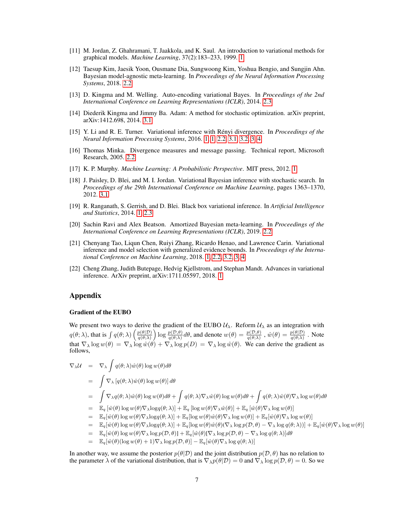- <span id="page-6-0"></span>[11] M. Jordan, Z. Ghahramani, T. Jaakkola, and K. Saul. An introduction to variational methods for graphical models. *Machine Learning*, 37(2):183–233, 1999. [1](#page-0-1)
- <span id="page-6-7"></span>[12] Taesup Kim, Jaesik Yoon, Ousmane Dia, Sungwoong Kim, Yoshua Bengio, and Sungjin Ahn. Bayesian model-agnostic meta-learning. In *Proceedings of the Neural Information Processing Systems*, 2018. [2.2](#page-1-0)
- <span id="page-6-9"></span>[13] D. Kingma and M. Welling. Auto-encoding variational Bayes. In *Proceedings of the 2nd International Conference on Learning Representations (ICLR)*, 2014. [2.3](#page-2-2)
- <span id="page-6-10"></span>[14] Diederik Kingma and Jimmy Ba. Adam: A method for stochastic optimization. arXiv preprint, arXiv:1412.698, 2014. [3.1](#page-3-0)
- <span id="page-6-1"></span>[15] Y. Li and R. E. Turner. Variational inference with Rényi divergence. In *Proceedings of the Neural Information Processing Systems*, 2016. [1,](#page-0-1) [1,](#page-0-0) [2.2,](#page-1-0) [3.1,](#page-3-0) [3.2,](#page-3-1) [3,](#page-5-10) [4](#page-5-11)
- <span id="page-6-6"></span>[16] Thomas Minka. Divergence measures and message passing. Technical report, Microsoft Research, 2005. [2.2](#page-1-0)
- <span id="page-6-3"></span>[17] K. P. Murphy. *Machine Learning: A Probabilistic Perspective*. MIT press, 2012. [1](#page-0-1)
- <span id="page-6-11"></span>[18] J. Paisley, D. Blei, and M. I. Jordan. Variational Bayesian inference with stochastic search. In *Proceedings of the 29th International Conference on Machine Learning*, pages 1363–1370, 2012. [3.1](#page-3-0)
- <span id="page-6-5"></span>[19] R. Ranganath, S. Gerrish, and D. Blei. Black box variational inference. In *Artificial Intelligence and Statistics*, 2014. [1,](#page-0-0) [2.3](#page-2-1)
- <span id="page-6-8"></span>[20] Sachin Ravi and Alex Beatson. Amortized Bayesian meta-learning. In *Proceedings of the International Conference on Learning Representations (ICLR)*, 2019. [2.2](#page-1-0)
- <span id="page-6-4"></span>[21] Chenyang Tao, Liqun Chen, Ruiyi Zhang, Ricardo Henao, and Lawrence Carin. Variational inference and model selection with generalized evidence bounds. In *Proceedings of the International Conference on Machine Learning*, 2018. [1,](#page-0-1) [2.2,](#page-1-0) [3.2,](#page-3-1) [3,](#page-5-10) [4](#page-5-11)
- <span id="page-6-2"></span>[22] Cheng Zhang, Judith Butepage, Hedvig Kjellstrom, and Stephan Mandt. Advances in variational inference. ArXiv preprint, arXiv:1711.05597, 2018. [1](#page-0-1)

# Appendix

#### Gradient of the EUBO

We present two ways to derive the gradient of the EUBO  $\mathcal{U}_{\lambda}$ . Reform  $\mathcal{U}_{\lambda}$  as an integration with  $q(\theta; \lambda)$ , that is  $\int q(\theta; \lambda) \left( \frac{p(\theta|\mathcal{D})}{q(\theta; \lambda)} \right)$  $\frac{p(\theta|\mathcal{D})}{q(\theta;\lambda)} \log \frac{p(\mathcal{D},\theta)}{q(\theta;\lambda)} d\theta$ , and denote  $w(\theta) = \frac{p(\mathcal{D},\theta)}{q(\theta;\lambda)}$ ,  $\hat{w}(\theta) = \frac{p(\theta|\mathcal{D})}{q(\theta;\lambda)}$ . Note that  $\nabla_{\lambda} \log w(\theta) = \nabla_{\lambda} \log \hat{w}(\theta) + \nabla_{\lambda} \log p(D) = \nabla_{\lambda} \log \hat{w}(\theta)$ . We can derive the gradient as follows,

$$
\nabla_{\lambda} U = \nabla_{\lambda} \int q(\theta; \lambda) \hat{w}(\theta) \log w(\theta) d\theta
$$
\n
$$
= \int \nabla_{\lambda} [q(\theta; \lambda) \hat{w}(\theta) \log w(\theta)] d\theta
$$
\n
$$
= \int \nabla_{\lambda} q(\theta; \lambda) \hat{w}(\theta) \log w(\theta) d\theta + \int q(\theta; \lambda) \nabla_{\lambda} \hat{w}(\theta) \log w(\theta) d\theta + \int q(\theta; \lambda) \hat{w}(\theta) \nabla_{\lambda} \log w(\theta) d\theta
$$
\n
$$
= \mathbb{E}_{q} [\hat{w}(\theta) \log w(\theta) \nabla_{\lambda} \log q(\theta; \lambda)] + \mathbb{E}_{q} [\log w(\theta) \nabla_{\lambda} \hat{w}(\theta)] + \mathbb{E}_{q} [\hat{w}(\theta) \nabla_{\lambda} \log w(\theta)]
$$
\n
$$
= \mathbb{E}_{q} [\hat{w}(\theta) \log w(\theta) \nabla_{\lambda} \log q(\theta; \lambda)] + \mathbb{E}_{q} [\log w(\theta) \hat{w}(\theta) \nabla_{\lambda} \log w(\theta)] + \mathbb{E}_{q} [\hat{w}(\theta) \nabla_{\lambda} \log w(\theta)]
$$
\n
$$
= \mathbb{E}_{q} [\hat{w}(\theta) \log w(\theta) \nabla_{\lambda} \log q(\theta; \lambda)] + \mathbb{E}_{q} [\log w(\theta) \hat{w}(\theta) (\nabla_{\lambda} \log p(\mathcal{D}, \theta) - \nabla_{\lambda} \log q(\theta; \lambda))] + \mathbb{E}_{q} [\hat{w}(\theta) \nabla_{\lambda} \log w(\theta)]
$$
\n
$$
= \mathbb{E}_{q} [\hat{w}(\theta) \log w(\theta) \nabla_{\lambda} \log p(\mathcal{D}, \theta)] + \mathbb{E}_{q} [\hat{w}(\theta) \nabla_{\lambda} \log p(\mathcal{D}, \theta) - \nabla_{\lambda} \log q(\theta; \lambda)] d\theta
$$
\n
$$
= \mathbb{E}_{q} [\hat{w}(\theta) (\log w(\theta) + 1) \nabla_{\lambda} \log p(\mathcal{D}, \theta)] - \mathbb{E}_{q} [\hat{w}(\
$$

In another way, we assume the posterior  $p(\theta|\mathcal{D})$  and the joint distribution  $p(\mathcal{D}, \theta)$  has no relation to the parameter  $\lambda$  of the variational distribution, that is  $\nabla_{\lambda} p(\theta|\mathcal{D}) = 0$  and  $\nabla_{\lambda} \log p(\mathcal{D}, \theta) = 0$ . So we